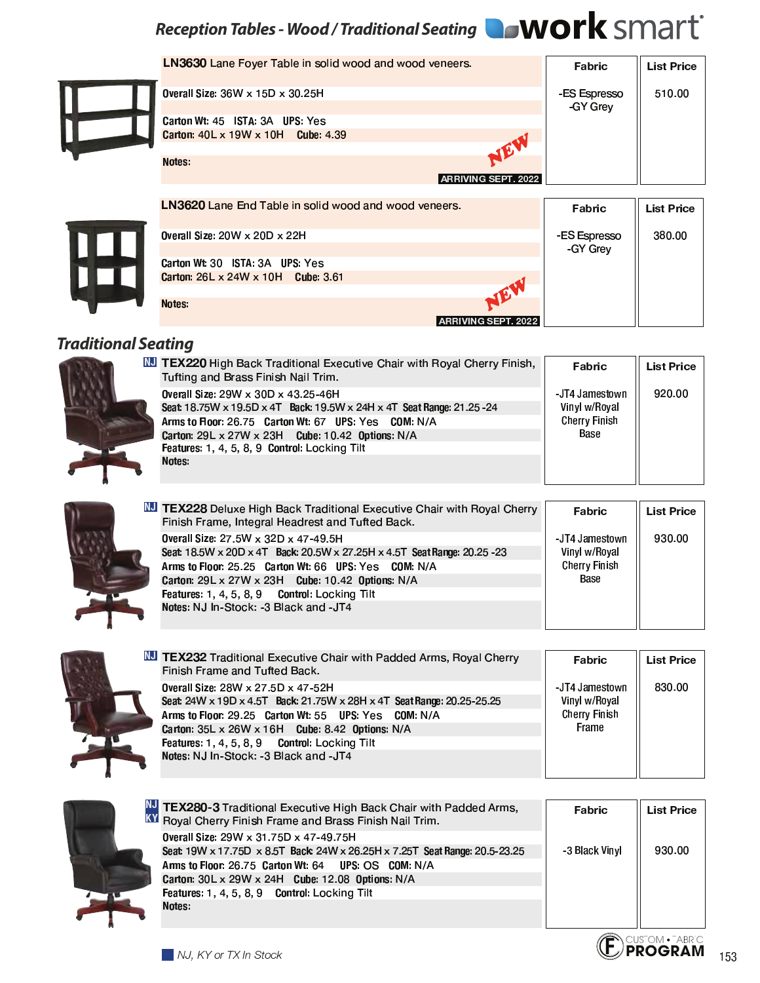## Reception Tables - Wood / Traditional Seating **WOrk** SMArt<sup>®</sup>

| <b>Overall S</b>            |
|-----------------------------|
| <b>Carton W</b><br>Carton 4 |
| <b>Notes</b>                |

| <b>LN3630</b> Lane Foyer Table in solid wood and wood veneers. | Fabric                   | <b>List Price</b> |
|----------------------------------------------------------------|--------------------------|-------------------|
| <b>Overall Size: 36W x 15D x 30.25H</b>                        | -ES Espresso<br>-GY Grev | 510.00            |
| Carton Wt. 45 ISTA: 3A UPS: Yes                                |                          |                   |
| Carton: $40L \times 19W \times 10H$ Cube: 4.39                 |                          |                   |
| NEW                                                            |                          |                   |
| <b>Notes</b>                                                   |                          |                   |
| <b>ARRIVING SEPT. 2022</b>                                     |                          |                   |
|                                                                |                          |                   |
| <b>LN3620</b> Lane End Table in solid wood and wood veneers.   | Fabric                   | <b>List Price</b> |
| Overall Size: $20W \times 20D \times 22H$                      | -ES Espresso             | 380.00            |
|                                                                | -GY Grev                 |                   |
| Carton Wt: 30 ISTA 3A UPS: Yes                                 |                          |                   |
| Carton: 26L x 24W x 10H Cube: 3.61                             |                          |                   |
| JEV                                                            |                          |                   |
| Notes:                                                         |                          |                   |

#### ARRIVING SEPT. 2022

### **Traditional Seating**

| <b>NJ TEX220 High Back Traditional Executive Chair with Royal Cherry Finish,</b><br>Tufting and Brass Finish Nail Trim. | Fabric                          | <b>List Price</b> |
|-------------------------------------------------------------------------------------------------------------------------|---------------------------------|-------------------|
| <b>Overall Size: 29W x 30D x 43.25-46H</b><br>Seat: 18.75W x 19.5D x 4T Back: 19.5W x 24H x 4T Seat Range: 21.25 - 24   | -JT4 Jamestown<br>Vinyl w/Royal | 920.00            |
| Arms to Floor: 26.75 Carton Wt: 67 UPS: Yes COM: N/A                                                                    | <b>Cherry Finish</b>            |                   |
| Carton: $29L \times 27W \times 23H$ Cube: 10.42 Options: N/A                                                            | Base                            |                   |
| Features: 1, 4, 5, 8, 9 Control: Locking Tilt                                                                           |                                 |                   |
| Notes:                                                                                                                  |                                 |                   |

| <b>NJ TEX228</b> Deluxe High Back Traditional Executive Chair with Royal Cherry<br>Finish Frame, Integral Headrest and Tufted Back.                                                                                                                                                                                    | Fabric                                                         | <b>List Price</b> |
|------------------------------------------------------------------------------------------------------------------------------------------------------------------------------------------------------------------------------------------------------------------------------------------------------------------------|----------------------------------------------------------------|-------------------|
| Overall Size: 27.5W x 32D x 47-49.5H<br>Seat 18.5W x 20D x 4T Back: 20.5W x 27.25H x 4.5T Seat Range: 20.25 - 23<br>Arms to Floor: 25.25 Carton Wt: 66 UPS: Yes COM: N/A<br>Carton: 29L x 27W x 23H Cube: 10.42 Options: N/A<br>Features: 1, 4, 5, 8, 9 Control: Locking Tilt<br>Notes: NJ In-Stock: -3 Black and -JT4 | JT4 Jamestown<br>Vinyl w/Royal<br><b>Cherry Finish</b><br>Base | 930.00            |

| NJ TEX232 Traditional Executive Chair with Padded Arms, Royal Cherry<br>Finish Frame and Tufted Back.                                                                                                                                                                                                                    | Fabric                                                          | <b>List Price</b> |
|--------------------------------------------------------------------------------------------------------------------------------------------------------------------------------------------------------------------------------------------------------------------------------------------------------------------------|-----------------------------------------------------------------|-------------------|
| <b>Overall Size: 28W x 27.5D x 47-52H</b><br>Seat: 24W x 19D x 4.5T Back: 21.75W x 28H x 4T Seat Range: 20.25-25.25<br>Arms to Floor: 29.25 Carton Wt: 55 UPS: Yes COM: N/A<br>Carton: 35L x 26W x 16H Cube: 8.42 Options: N/A<br>Features: 1, 4, 5, 8, 9 Control: Locking Tilt<br>Notes: NJ In-Stock: -3 Black and -JT4 | JT4 Jamestown<br>Vinyl w/Royal<br><b>Cherry Finish</b><br>Frame | 830.00            |



| TEX280-3 Traditional Executive High Back Chair with Padded Arms,<br>Royal Cherry Finish Frame and Brass Finish Nail Trim. | Fabric         | <b>List Price</b> |
|---------------------------------------------------------------------------------------------------------------------------|----------------|-------------------|
| Overall Size: 29W x 31.75D x 47-49.75H                                                                                    |                |                   |
| Seat: 19W x 17.75D x 8.5T Back: 24W x 26.25H x 7.25T Seat Range: 20.5-23.25                                               | -3 Black Vinyl | 930.00            |
| Arms to Floor: 26.75 Carton Wt: 64 UPS: OS COM: N/A                                                                       |                |                   |
| Carton: 30L x 29W x 24H Cube: 12.08 Options: N/A                                                                          |                |                   |
| Features: 1, 4, 5, 8, 9 Control: Locking Tilt                                                                             |                |                   |
| Notes:                                                                                                                    |                |                   |
|                                                                                                                           |                |                   |